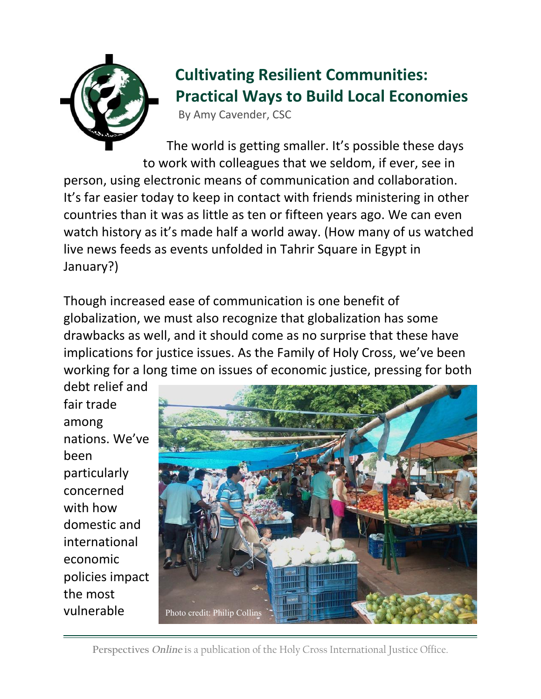

## **Cultivating Resilient Communities: Practical Ways to Build Local Economies**

By Amy Cavender, CSC

The world is getting smaller. It's possible these days to work with colleagues that we seldom, if ever, see in person, using electronic means of communication and collaboration. It's far easier today to keep in contact with friends ministering in other countries than it was as little as ten or fifteen years ago. We can even watch history as it's made half a world away. (How many of us watched live news feeds as events unfolded in Tahrir Square in Egypt in January?)

Though increased ease of communication is one benefit of globalization, we must also recognize that globalization has some drawbacks as well, and it should come as no surprise that these have implications for justice issues. As the Family of Holy Cross, we've been working for a long time on issues of economic justice, pressing for both

debt relief and fair trade among nations. We've been particularly concerned with how domestic and international economic policies impact the most vulnerable



**Perspectives** *Online* is a publication of the Holy Cross International Justice Office.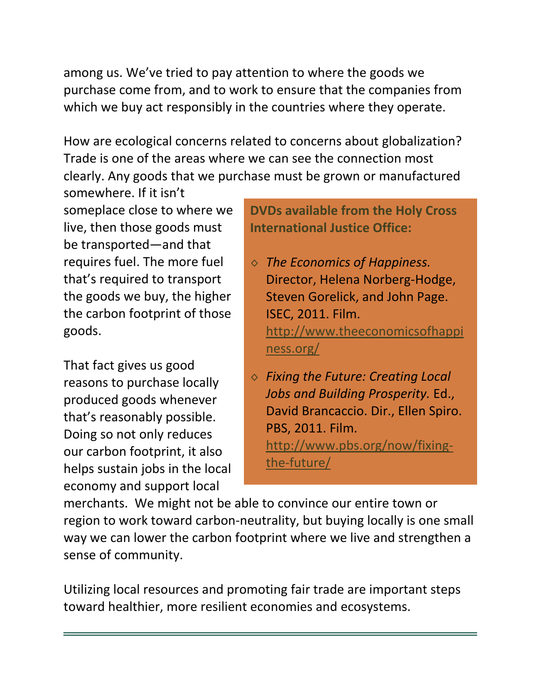among us. We've tried to pay attention to where the goods we purchase come from, and to work to ensure that the companies from which we buy act responsibly in the countries where they operate.

How are ecological concerns related to concerns about globalization? Trade is one of the areas where we can see the connection most clearly. Any goods that we purchase must be grown or manufactured

somewhere. If it isn't someplace close to where we live, then those goods must be transported—and that requires fuel. The more fuel that's required to transport the goods we buy, the higher the carbon footprint of those goods.

That fact gives us good reasons to purchase locally produced goods whenever that's reasonably possible. Doing so not only reduces our carbon footprint, it also helps sustain jobs in the local economy and support local

**DVDs available from the Holy Cross International Justice Office:** 

- ◊ *The Economics of Happiness.* Director, Helena Norberg-Hodge, Steven Gorelick, and John Page. ISEC, 2011. Film. <http://www.theeconomicsofhappi> ness.org/
- ◊ *Fixing the Future: Creating Local Jobs and Building Prosperity.* Ed., David Brancaccio. Dir., Ellen Spiro. PBS, 2011. Film. <http://www.pbs.org/now/fixing>the-future/

merchants. We might not be able to convince our entire town or region to work toward carbon-neutrality, but buying locally is one small way we can lower the carbon footprint where we live and strengthen a sense of community.

Utilizing local resources and promoting fair trade are important steps toward healthier, more resilient economies and ecosystems.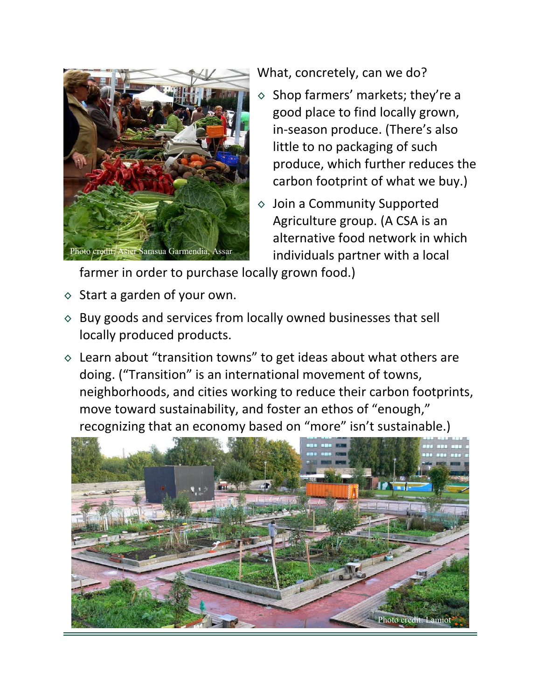

What, concretely, can we do?

- $\diamond$  Shop farmers' markets; they're a good place to find locally grown, in-season produce. (There's also little to no packaging of such produce, which further reduces the carbon footprint of what we buy.)
- ◊ Join a Community Supported Agriculture group. (A CSA is an alternative food network in which individuals partner with a local

farmer in order to purchase locally grown food.)

- $\diamond$  Start a garden of your own.
- $\diamond$  Buy goods and services from locally owned businesses that sell locally produced products.
- $\diamond$  Learn about "transition towns" to get ideas about what others are doing. ("Transition" is an international movement of towns, neighborhoods, and cities working to reduce their carbon footprints, move toward sustainability, and foster an ethos of "enough," recognizing that an economy based on "more" isn't sustainable.)